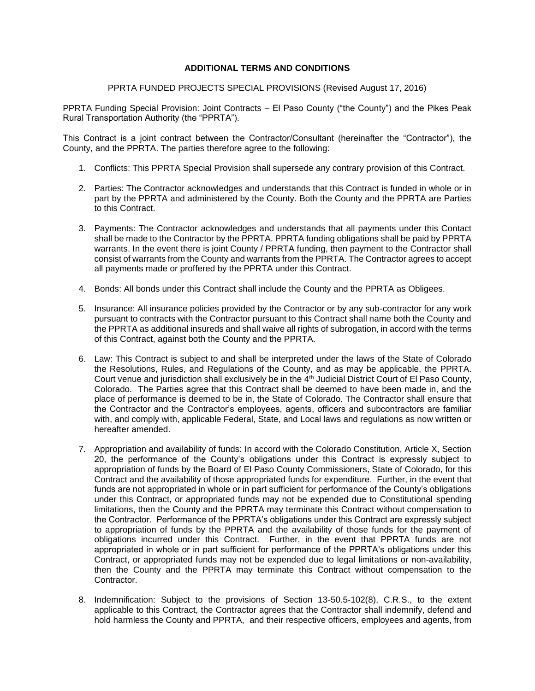## **ADDITIONAL TERMS AND CONDITIONS**

PPRTA FUNDED PROJECTS SPECIAL PROVISIONS (Revised August 17, 2016)

PPRTA Funding Special Provision: Joint Contracts – El Paso County ("the County") and the Pikes Peak Rural Transportation Authority (the "PPRTA").

This Contract is a joint contract between the Contractor/Consultant (hereinafter the "Contractor"), the County, and the PPRTA. The parties therefore agree to the following:

- 1. Conflicts: This PPRTA Special Provision shall supersede any contrary provision of this Contract.
- 2. Parties: The Contractor acknowledges and understands that this Contract is funded in whole or in part by the PPRTA and administered by the County. Both the County and the PPRTA are Parties to this Contract.
- 3. Payments: The Contractor acknowledges and understands that all payments under this Contact shall be made to the Contractor by the PPRTA. PPRTA funding obligations shall be paid by PPRTA warrants. In the event there is joint County / PPRTA funding, then payment to the Contractor shall consist of warrants from the County and warrants from the PPRTA. The Contractor agrees to accept all payments made or proffered by the PPRTA under this Contract.
- 4. Bonds: All bonds under this Contract shall include the County and the PPRTA as Obligees.
- 5. Insurance: All insurance policies provided by the Contractor or by any sub-contractor for any work pursuant to contracts with the Contractor pursuant to this Contract shall name both the County and the PPRTA as additional insureds and shall waive all rights of subrogation, in accord with the terms of this Contract, against both the County and the PPRTA.
- 6. Law: This Contract is subject to and shall be interpreted under the laws of the State of Colorado the Resolutions, Rules, and Regulations of the County, and as may be applicable, the PPRTA. Court venue and jurisdiction shall exclusively be in the 4<sup>th</sup> Judicial District Court of El Paso County, Colorado. The Parties agree that this Contract shall be deemed to have been made in, and the place of performance is deemed to be in, the State of Colorado. The Contractor shall ensure that the Contractor and the Contractor's employees, agents, officers and subcontractors are familiar with, and comply with, applicable Federal, State, and Local laws and regulations as now written or hereafter amended.
- 7. Appropriation and availability of funds: In accord with the Colorado Constitution, Article X, Section 20, the performance of the County's obligations under this Contract is expressly subject to appropriation of funds by the Board of El Paso County Commissioners, State of Colorado, for this Contract and the availability of those appropriated funds for expenditure. Further, in the event that funds are not appropriated in whole or in part sufficient for performance of the County's obligations under this Contract, or appropriated funds may not be expended due to Constitutional spending limitations, then the County and the PPRTA may terminate this Contract without compensation to the Contractor. Performance of the PPRTA's obligations under this Contract are expressly subject to appropriation of funds by the PPRTA and the availability of those funds for the payment of obligations incurred under this Contract. Further, in the event that PPRTA funds are not appropriated in whole or in part sufficient for performance of the PPRTA's obligations under this Contract, or appropriated funds may not be expended due to legal limitations or non-availability, then the County and the PPRTA may terminate this Contract without compensation to the Contractor.
- 8. Indemnification: Subject to the provisions of Section 13-50.5-102(8), C.R.S., to the extent applicable to this Contract, the Contractor agrees that the Contractor shall indemnify, defend and hold harmless the County and PPRTA, and their respective officers, employees and agents, from